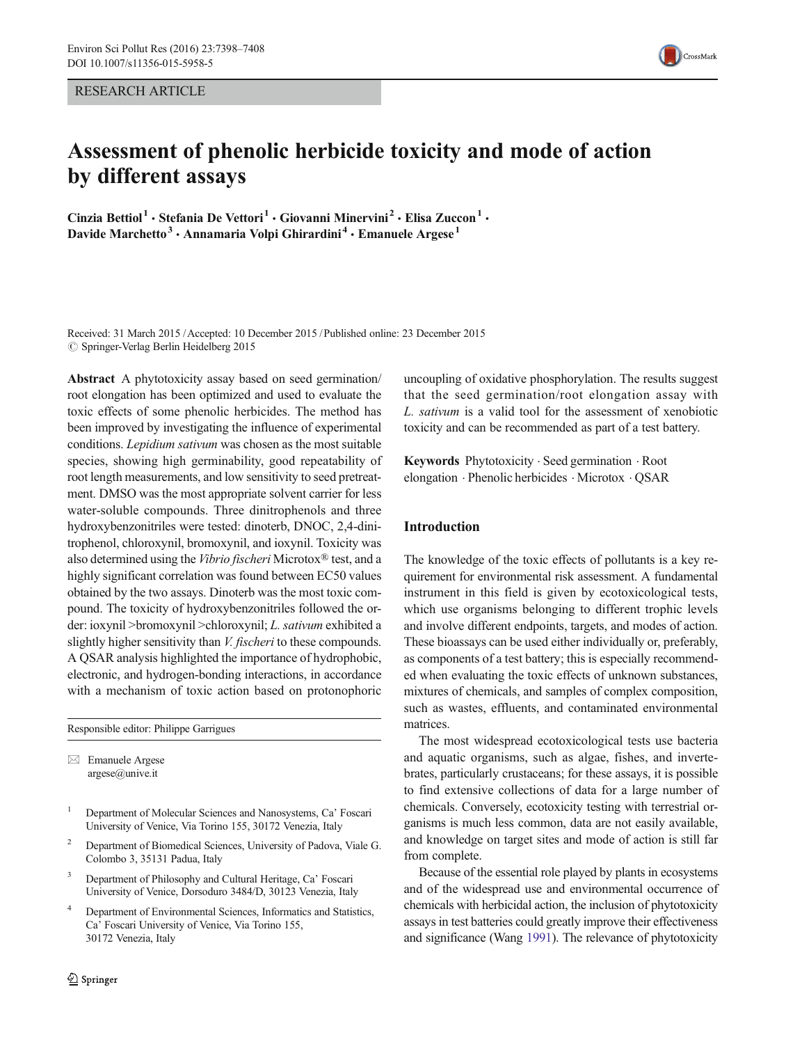RESEARCH ARTICLE

# Assessment of phenolic herbicide toxicity and mode of action by different assays

Cinzia Bettiol<sup>1</sup> · Stefania De Vettori<sup>1</sup> · Giovanni Minervini<sup>2</sup> · Elisa Zuccon<sup>1</sup> · Davide Marchetto<sup>3</sup> · Annamaria Volpi Ghirardini<sup>4</sup> · Emanuele Argese<sup>1</sup>

Received: 31 March 2015 /Accepted: 10 December 2015 /Published online: 23 December 2015  $\oslash$  Springer-Verlag Berlin Heidelberg 2015

Abstract A phytotoxicity assay based on seed germination/ root elongation has been optimized and used to evaluate the toxic effects of some phenolic herbicides. The method has been improved by investigating the influence of experimental conditions. Lepidium sativum was chosen as the most suitable species, showing high germinability, good repeatability of root length measurements, and low sensitivity to seed pretreatment. DMSO was the most appropriate solvent carrier for less water-soluble compounds. Three dinitrophenols and three hydroxybenzonitriles were tested: dinoterb, DNOC, 2,4-dinitrophenol, chloroxynil, bromoxynil, and ioxynil. Toxicity was also determined using the Vibrio fischeri Microtox® test, and a highly significant correlation was found between EC50 values obtained by the two assays. Dinoterb was the most toxic compound. The toxicity of hydroxybenzonitriles followed the order: ioxynil >bromoxynil >chloroxynil; L. sativum exhibited a slightly higher sensitivity than *V. fischeri* to these compounds. A QSAR analysis highlighted the importance of hydrophobic, electronic, and hydrogen-bonding interactions, in accordance with a mechanism of toxic action based on protonophoric

Responsible editor: Philippe Garrigues

 $\boxtimes$  Emanuele Argese argese@unive.it

- <sup>1</sup> Department of Molecular Sciences and Nanosystems, Ca' Foscari University of Venice, Via Torino 155, 30172 Venezia, Italy
- <sup>2</sup> Department of Biomedical Sciences, University of Padova, Viale G. Colombo 3, 35131 Padua, Italy
- Department of Philosophy and Cultural Heritage, Ca' Foscari University of Venice, Dorsoduro 3484/D, 30123 Venezia, Italy
- Department of Environmental Sciences, Informatics and Statistics, Ca' Foscari University of Venice, Via Torino 155, 30172 Venezia, Italy



Keywords Phytotoxicity . Seed germination . Root elongation . Phenolic herbicides . Microtox . QSAR

## Introduction

The knowledge of the toxic effects of pollutants is a key requirement for environmental risk assessment. A fundamental instrument in this field is given by ecotoxicological tests, which use organisms belonging to different trophic levels and involve different endpoints, targets, and modes of action. These bioassays can be used either individually or, preferably, as components of a test battery; this is especially recommended when evaluating the toxic effects of unknown substances, mixtures of chemicals, and samples of complex composition, such as wastes, effluents, and contaminated environmental matrices.

The most widespread ecotoxicological tests use bacteria and aquatic organisms, such as algae, fishes, and invertebrates, particularly crustaceans; for these assays, it is possible to find extensive collections of data for a large number of chemicals. Conversely, ecotoxicity testing with terrestrial organisms is much less common, data are not easily available, and knowledge on target sites and mode of action is still far from complete.

Because of the essential role played by plants in ecosystems and of the widespread use and environmental occurrence of chemicals with herbicidal action, the inclusion of phytotoxicity assays in test batteries could greatly improve their effectiveness and significance (Wang [1991](#page-10-0)). The relevance of phytotoxicity

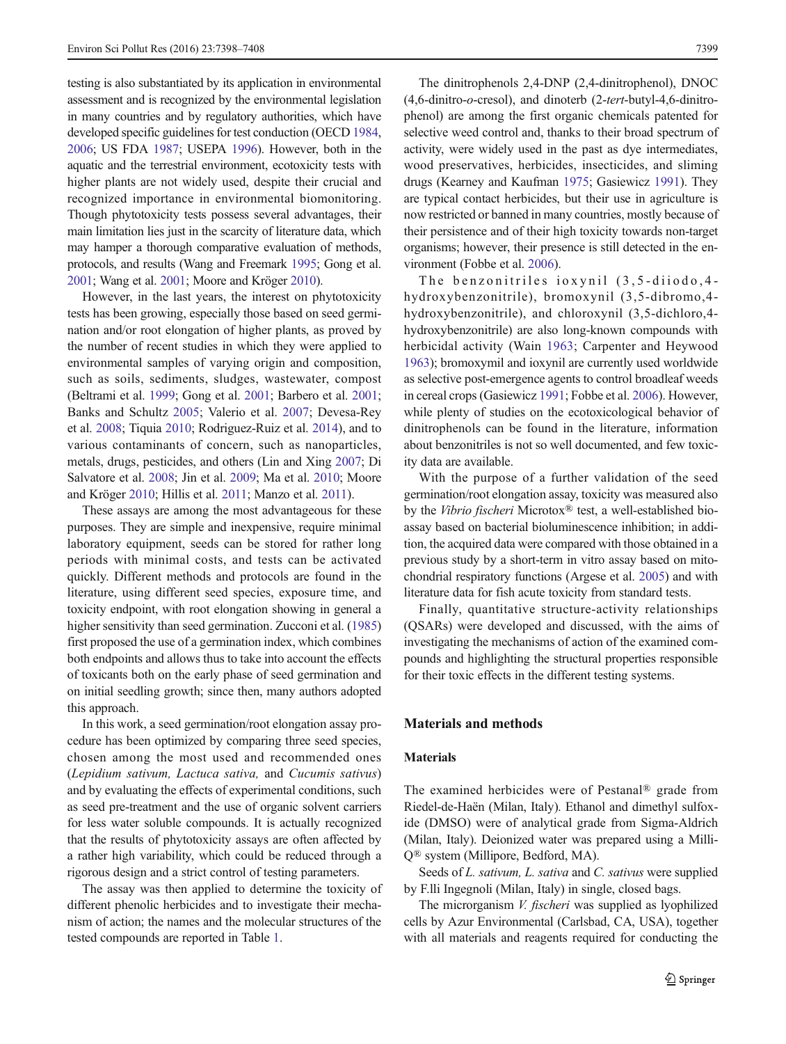testing is also substantiated by its application in environmental assessment and is recognized by the environmental legislation in many countries and by regulatory authorities, which have developed specific guidelines for test conduction (OECD [1984,](#page-9-0) [2006](#page-9-0); US FDA [1987;](#page-10-0) USEPA [1996\)](#page-10-0). However, both in the aquatic and the terrestrial environment, ecotoxicity tests with higher plants are not widely used, despite their crucial and recognized importance in environmental biomonitoring. Though phytotoxicity tests possess several advantages, their main limitation lies just in the scarcity of literature data, which may hamper a thorough comparative evaluation of methods, protocols, and results (Wang and Freemark [1995;](#page-10-0) Gong et al. [2001](#page-9-0); Wang et al. [2001;](#page-10-0) Moore and Kröger [2010\)](#page-9-0).

However, in the last years, the interest on phytotoxicity tests has been growing, especially those based on seed germination and/or root elongation of higher plants, as proved by the number of recent studies in which they were applied to environmental samples of varying origin and composition, such as soils, sediments, sludges, wastewater, compost (Beltrami et al. [1999;](#page-9-0) Gong et al. [2001;](#page-9-0) Barbero et al. [2001](#page-9-0); Banks and Schultz [2005](#page-9-0); Valerio et al. [2007](#page-10-0); Devesa-Rey et al. [2008](#page-9-0); Tiquia [2010](#page-10-0); Rodriguez-Ruiz et al. [2014](#page-9-0)), and to various contaminants of concern, such as nanoparticles, metals, drugs, pesticides, and others (Lin and Xing [2007;](#page-9-0) Di Salvatore et al. [2008](#page-9-0); Jin et al. [2009;](#page-9-0) Ma et al. [2010](#page-9-0); Moore and Kröger [2010](#page-9-0); Hillis et al. [2011](#page-9-0); Manzo et al. [2011](#page-9-0)).

These assays are among the most advantageous for these purposes. They are simple and inexpensive, require minimal laboratory equipment, seeds can be stored for rather long periods with minimal costs, and tests can be activated quickly. Different methods and protocols are found in the literature, using different seed species, exposure time, and toxicity endpoint, with root elongation showing in general a higher sensitivity than seed germination. Zucconi et al. [\(1985\)](#page-10-0) first proposed the use of a germination index, which combines both endpoints and allows thus to take into account the effects of toxicants both on the early phase of seed germination and on initial seedling growth; since then, many authors adopted this approach.

In this work, a seed germination/root elongation assay procedure has been optimized by comparing three seed species, chosen among the most used and recommended ones (Lepidium sativum, Lactuca sativa, and Cucumis sativus) and by evaluating the effects of experimental conditions, such as seed pre-treatment and the use of organic solvent carriers for less water soluble compounds. It is actually recognized that the results of phytotoxicity assays are often affected by a rather high variability, which could be reduced through a rigorous design and a strict control of testing parameters.

The assay was then applied to determine the toxicity of different phenolic herbicides and to investigate their mechanism of action; the names and the molecular structures of the tested compounds are reported in Table [1.](#page-2-0)

The dinitrophenols 2,4-DNP (2,4-dinitrophenol), DNOC (4,6-dinitro-o-cresol), and dinoterb (2-tert-butyl-4,6-dinitrophenol) are among the first organic chemicals patented for selective weed control and, thanks to their broad spectrum of activity, were widely used in the past as dye intermediates, wood preservatives, herbicides, insecticides, and sliming drugs (Kearney and Kaufman [1975](#page-9-0); Gasiewicz [1991](#page-9-0)). They are typical contact herbicides, but their use in agriculture is now restricted or banned in many countries, mostly because of their persistence and of their high toxicity towards non-target organisms; however, their presence is still detected in the environment (Fobbe et al. [2006\)](#page-9-0).

The benzonitriles ioxynil (3,5-diiodo,4 hydroxybenzonitrile), bromoxynil (3,5-dibromo,4 hydroxybenzonitrile), and chloroxynil (3,5-dichloro,4 hydroxybenzonitrile) are also long-known compounds with herbicidal activity (Wain [1963;](#page-10-0) Carpenter and Heywood [1963\)](#page-9-0); bromoxymil and ioxynil are currently used worldwide as selective post-emergence agents to control broadleaf weeds in cereal crops (Gasiewicz [1991](#page-9-0); Fobbe et al. [2006\)](#page-9-0). However, while plenty of studies on the ecotoxicological behavior of dinitrophenols can be found in the literature, information about benzonitriles is not so well documented, and few toxicity data are available.

With the purpose of a further validation of the seed germination/root elongation assay, toxicity was measured also by the Vibrio fischeri Microtox® test, a well-established bioassay based on bacterial bioluminescence inhibition; in addition, the acquired data were compared with those obtained in a previous study by a short-term in vitro assay based on mitochondrial respiratory functions (Argese et al. [2005\)](#page-9-0) and with literature data for fish acute toxicity from standard tests.

Finally, quantitative structure-activity relationships (QSARs) were developed and discussed, with the aims of investigating the mechanisms of action of the examined compounds and highlighting the structural properties responsible for their toxic effects in the different testing systems.

## Materials and methods

#### Materials

The examined herbicides were of Pestanal® grade from Riedel-de-Haën (Milan, Italy). Ethanol and dimethyl sulfoxide (DMSO) were of analytical grade from Sigma-Aldrich (Milan, Italy). Deionized water was prepared using a Milli-Q® system (Millipore, Bedford, MA).

Seeds of *L. sativum, L. sativa* and *C. sativus* were supplied by F.lli Ingegnoli (Milan, Italy) in single, closed bags.

The microrganism *V. fischeri* was supplied as lyophilized cells by Azur Environmental (Carlsbad, CA, USA), together with all materials and reagents required for conducting the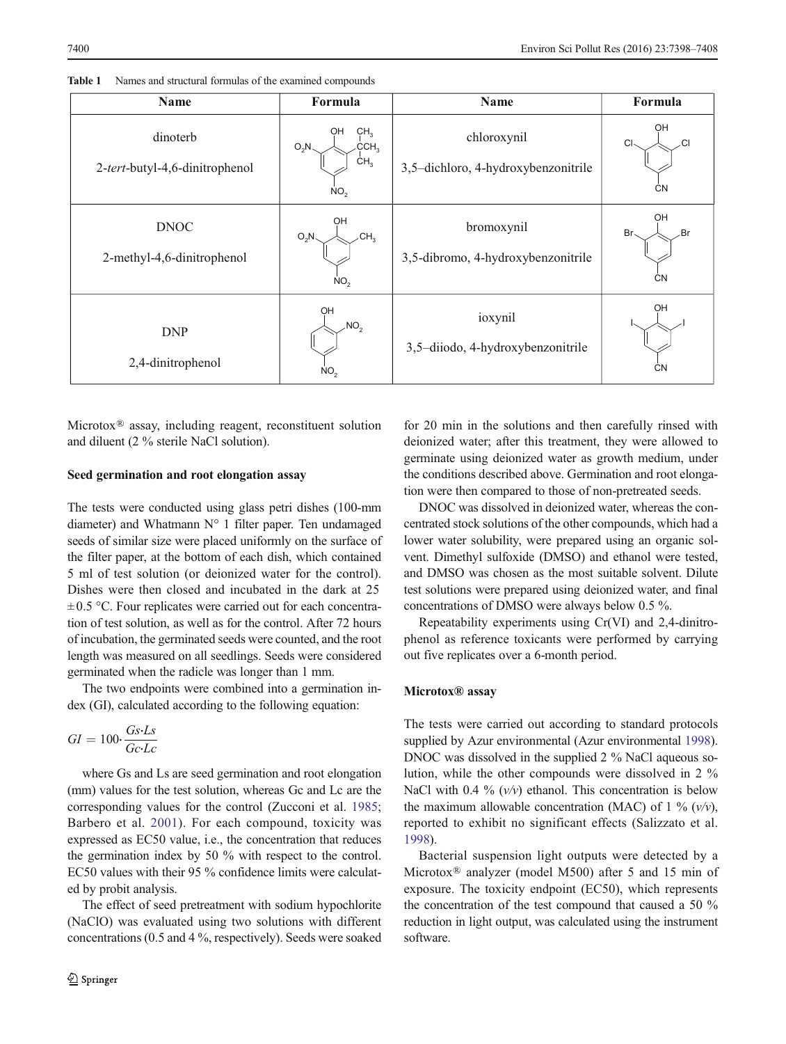| <b>Name</b>                                | Formula                                                                                    | Name                                               | Formula                      |
|--------------------------------------------|--------------------------------------------------------------------------------------------|----------------------------------------------------|------------------------------|
| dinoterb<br>2-tert-butyl-4,6-dinitrophenol | CH <sub>3</sub><br>OH<br>$\angle$ CCH $_3$<br>$O_2N$<br>CH <sub>3</sub><br>NO <sub>2</sub> | chloroxynil<br>3,5-dichloro, 4-hydroxybenzonitrile | OH<br>C<br><b>CN</b>         |
| <b>DNOC</b><br>2-methyl-4,6-dinitrophenol  | OН<br>CH <sub>3</sub><br>$O_2N$<br>NO <sub>2</sub>                                         | bromoxynil<br>3,5-dibromo, 4-hydroxybenzonitrile   | OH<br>.Br<br>Br<br><b>CN</b> |
| <b>DNP</b><br>2,4-dinitrophenol            | OH<br>$\sqrt{NO_2}$<br>NO <sub>2</sub>                                                     | ioxynil<br>3,5-diiodo, 4-hydroxybenzonitrile       | OH<br><b>CN</b>              |

<span id="page-2-0"></span>

| Table 1 | Names and structural formulas of the examined compounds |  |  |  |  |  |
|---------|---------------------------------------------------------|--|--|--|--|--|
|---------|---------------------------------------------------------|--|--|--|--|--|

Microtox® assay, including reagent, reconstituent solution and diluent (2 % sterile NaCl solution).

#### Seed germination and root elongation assay

The tests were conducted using glass petri dishes (100-mm diameter) and Whatmann N° 1 filter paper. Ten undamaged seeds of similar size were placed uniformly on the surface of the filter paper, at the bottom of each dish, which contained 5 ml of test solution (or deionized water for the control). Dishes were then closed and incubated in the dark at 25  $\pm 0.5$  °C. Four replicates were carried out for each concentration of test solution, as well as for the control. After 72 hours of incubation, the germinated seeds were counted, and the root length was measured on all seedlings. Seeds were considered germinated when the radicle was longer than 1 mm.

The two endpoints were combined into a germination index (GI), calculated according to the following equation:

$$
GI = 100 \cdot \frac{Gs \cdot Ls}{Gc \cdot Lc}
$$

where Gs and Ls are seed germination and root elongation (mm) values for the test solution, whereas Gc and Lc are the corresponding values for the control (Zucconi et al. [1985](#page-10-0); Barbero et al. [2001](#page-9-0)). For each compound, toxicity was expressed as EC50 value, i.e., the concentration that reduces the germination index by 50 % with respect to the control. EC50 values with their 95 % confidence limits were calculated by probit analysis.

The effect of seed pretreatment with sodium hypochlorite (NaClO) was evaluated using two solutions with different concentrations (0.5 and 4 %, respectively). Seeds were soaked for 20 min in the solutions and then carefully rinsed with deionized water; after this treatment, they were allowed to germinate using deionized water as growth medium, under the conditions described above. Germination and root elongation were then compared to those of non-pretreated seeds.

DNOC was dissolved in deionized water, whereas the concentrated stock solutions of the other compounds, which had a lower water solubility, were prepared using an organic solvent. Dimethyl sulfoxide (DMSO) and ethanol were tested, and DMSO was chosen as the most suitable solvent. Dilute test solutions were prepared using deionized water, and final concentrations of DMSO were always below 0.5 %.

Repeatability experiments using Cr(VI) and 2,4-dinitrophenol as reference toxicants were performed by carrying out five replicates over a 6-month period.

### Microtox® assay

The tests were carried out according to standard protocols supplied by Azur environmental (Azur environmental [1998\)](#page-9-0). DNOC was dissolved in the supplied 2 % NaCl aqueous solution, while the other compounds were dissolved in 2 % NaCl with 0.4 %  $(v/v)$  ethanol. This concentration is below the maximum allowable concentration (MAC) of 1 %  $(v/v)$ , reported to exhibit no significant effects (Salizzato et al. [1998\)](#page-9-0).

Bacterial suspension light outputs were detected by a Microtox® analyzer (model M500) after 5 and 15 min of exposure. The toxicity endpoint (EC50), which represents the concentration of the test compound that caused a 50 % reduction in light output, was calculated using the instrument software.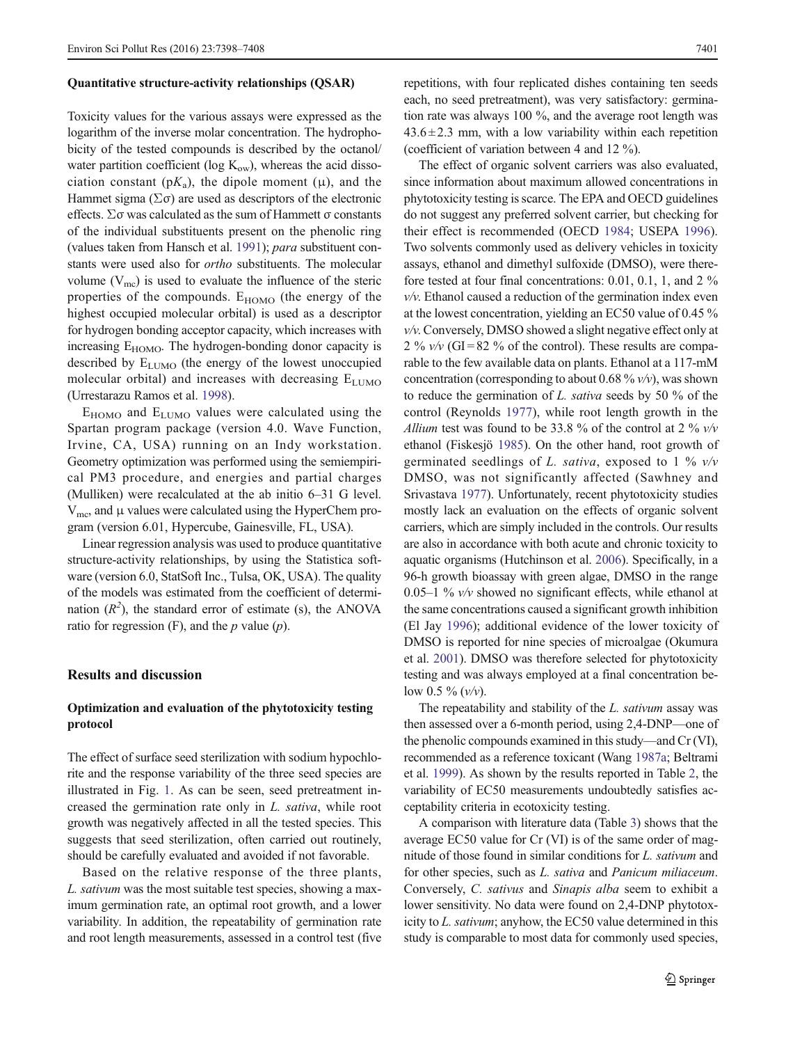#### Quantitative structure-activity relationships (QSAR)

Toxicity values for the various assays were expressed as the logarithm of the inverse molar concentration. The hydrophobicity of the tested compounds is described by the octanol/ water partition coefficient (log  $K_{ow}$ ), whereas the acid dissociation constant ( $pK_a$ ), the dipole moment (μ), and the Hammet sigma ( $\Sigma \sigma$ ) are used as descriptors of the electronic effects. Σσ was calculated as the sum of Hammett σ constants of the individual substituents present on the phenolic ring (values taken from Hansch et al. [1991](#page-9-0)); para substituent constants were used also for ortho substituents. The molecular volume  $(V_{\text{mc}})$  is used to evaluate the influence of the steric properties of the compounds.  $E_{HOMO}$  (the energy of the highest occupied molecular orbital) is used as a descriptor for hydrogen bonding acceptor capacity, which increases with increasing  $E_{HOMO}$ . The hydrogen-bonding donor capacity is described by  $E_{LUMO}$  (the energy of the lowest unoccupied molecular orbital) and increases with decreasing  $E_{LUMO}$ (Urrestarazu Ramos et al. [1998](#page-10-0)).

 $E_{HOMO}$  and  $E_{LUMO}$  values were calculated using the Spartan program package (version 4.0. Wave Function, Irvine, CA, USA) running on an Indy workstation. Geometry optimization was performed using the semiempirical PM3 procedure, and energies and partial charges (Mulliken) were recalculated at the ab initio 6–31 G level.  $V_{\text{mc}}$ , and  $\mu$  values were calculated using the HyperChem program (version 6.01, Hypercube, Gainesville, FL, USA).

Linear regression analysis was used to produce quantitative structure-activity relationships, by using the Statistica software (version 6.0, StatSoft Inc., Tulsa, OK, USA). The quality of the models was estimated from the coefficient of determination  $(R^2)$ , the standard error of estimate (s), the ANOVA ratio for regression  $(F)$ , and the p value  $(p)$ .

## Results and discussion

## Optimization and evaluation of the phytotoxicity testing protocol

The effect of surface seed sterilization with sodium hypochlorite and the response variability of the three seed species are illustrated in Fig. [1](#page-4-0). As can be seen, seed pretreatment increased the germination rate only in L. sativa, while root growth was negatively affected in all the tested species. This suggests that seed sterilization, often carried out routinely, should be carefully evaluated and avoided if not favorable.

Based on the relative response of the three plants, L. sativum was the most suitable test species, showing a maximum germination rate, an optimal root growth, and a lower variability. In addition, the repeatability of germination rate and root length measurements, assessed in a control test (five repetitions, with four replicated dishes containing ten seeds each, no seed pretreatment), was very satisfactory: germination rate was always 100 %, and the average root length was  $43.6 \pm 2.3$  mm, with a low variability within each repetition (coefficient of variation between 4 and 12 %).

The effect of organic solvent carriers was also evaluated, since information about maximum allowed concentrations in phytotoxicity testing is scarce. The EPA and OECD guidelines do not suggest any preferred solvent carrier, but checking for their effect is recommended (OECD [1984;](#page-9-0) USEPA [1996\)](#page-10-0). Two solvents commonly used as delivery vehicles in toxicity assays, ethanol and dimethyl sulfoxide (DMSO), were therefore tested at four final concentrations: 0.01, 0.1, 1, and 2 %  $v/v$ . Ethanol caused a reduction of the germination index even at the lowest concentration, yielding an EC50 value of 0.45 %  $v/v$ . Conversely, DMSO showed a slight negative effect only at 2 %  $v/v$  (GI=82 % of the control). These results are comparable to the few available data on plants. Ethanol at a 117-mM concentration (corresponding to about 0.68 %  $v/v$ ), was shown to reduce the germination of L. sativa seeds by 50 % of the control (Reynolds [1977\)](#page-9-0), while root length growth in the Allium test was found to be 33.8 % of the control at 2 %  $v/v$ ethanol (Fiskesjö [1985\)](#page-9-0). On the other hand, root growth of germinated seedlings of L. sativa, exposed to 1 %  $v/v$ DMSO, was not significantly affected (Sawhney and Srivastava [1977\)](#page-10-0). Unfortunately, recent phytotoxicity studies mostly lack an evaluation on the effects of organic solvent carriers, which are simply included in the controls. Our results are also in accordance with both acute and chronic toxicity to aquatic organisms (Hutchinson et al. [2006\)](#page-9-0). Specifically, in a 96-h growth bioassay with green algae, DMSO in the range 0.05–1 %  $v/v$  showed no significant effects, while ethanol at the same concentrations caused a significant growth inhibition (El Jay [1996](#page-9-0)); additional evidence of the lower toxicity of DMSO is reported for nine species of microalgae (Okumura et al. [2001](#page-9-0)). DMSO was therefore selected for phytotoxicity testing and was always employed at a final concentration below 0.5 %  $(v/v)$ .

The repeatability and stability of the *L. sativum* assay was then assessed over a 6-month period, using 2,4-DNP—one of the phenolic compounds examined in this study—and Cr (VI), recommended as a reference toxicant (Wang [1987a](#page-10-0); Beltrami et al. [1999\)](#page-9-0). As shown by the results reported in Table [2](#page-4-0), the variability of EC50 measurements undoubtedly satisfies acceptability criteria in ecotoxicity testing.

A comparison with literature data (Table [3\)](#page-5-0) shows that the average EC50 value for Cr (VI) is of the same order of magnitude of those found in similar conditions for L. sativum and for other species, such as L. sativa and Panicum miliaceum. Conversely, C. sativus and Sinapis alba seem to exhibit a lower sensitivity. No data were found on 2,4-DNP phytotoxicity to L. sativum; anyhow, the EC50 value determined in this study is comparable to most data for commonly used species,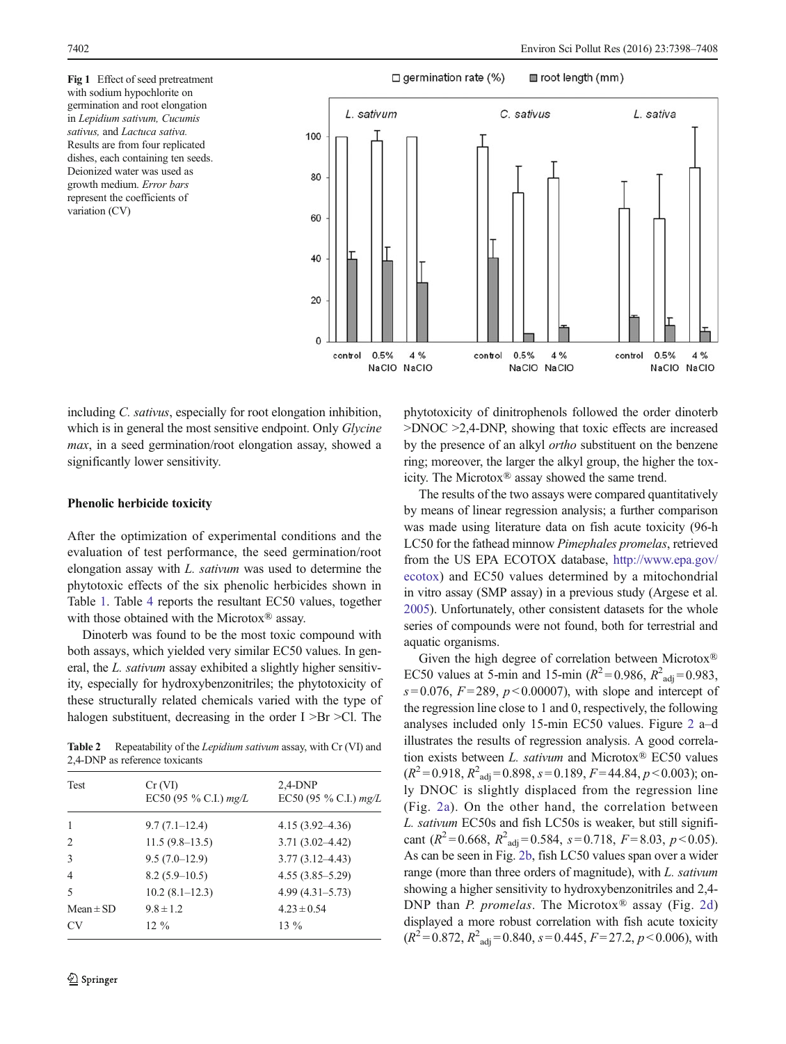<span id="page-4-0"></span>Fig 1 Effect of seed pretreatment with sodium hypochlorite on germination and root elongation in Lepidium sativum, Cucumis sativus, and Lactuca sativa. Results are from four replicated dishes, each containing ten seeds. Deionized water was used as growth medium. Error bars represent the coefficients of variation (CV)



including C. sativus, especially for root elongation inhibition, which is in general the most sensitive endpoint. Only *Glycine* max, in a seed germination/root elongation assay, showed a significantly lower sensitivity.

#### Phenolic herbicide toxicity

After the optimization of experimental conditions and the evaluation of test performance, the seed germination/root elongation assay with L. sativum was used to determine the phytotoxic effects of the six phenolic herbicides shown in Table [1.](#page-2-0) Table [4](#page-5-0) reports the resultant EC50 values, together with those obtained with the Microtox® assay.

Dinoterb was found to be the most toxic compound with both assays, which yielded very similar EC50 values. In general, the L. sativum assay exhibited a slightly higher sensitivity, especially for hydroxybenzonitriles; the phytotoxicity of these structurally related chemicals varied with the type of halogen substituent, decreasing in the order I >Br >Cl. The

Table 2 Repeatability of the Lepidium sativum assay, with Cr (VI) and 2,4-DNP as reference toxicants

| Test           | Cr (VI)<br>EC50 (95 % C.I.) $mg/L$ | $2,4$ -DNP<br>EC50 (95 % C.I.) $mg/L$ |
|----------------|------------------------------------|---------------------------------------|
| 1              | $9.7(7.1-12.4)$                    | $4.15(3.92 - 4.36)$                   |
| 2              | $11.5(9.8-13.5)$                   | $3.71(3.02 - 4.42)$                   |
| 3              | $9.5(7.0-12.9)$                    | $3.77(3.12 - 4.43)$                   |
| $\overline{4}$ | $8.2(5.9-10.5)$                    | $4.55(3.85 - 5.29)$                   |
| $\sim$         | $10.2(8.1-12.3)$                   | $4.99(4.31 - 5.73)$                   |
| $Mean \pm SD$  | $9.8 \pm 1.2$                      | $4.23 \pm 0.54$                       |
| CV             | $12\%$                             | $13\%$                                |
|                |                                    |                                       |

phytotoxicity of dinitrophenols followed the order dinoterb >DNOC >2,4-DNP, showing that toxic effects are increased by the presence of an alkyl ortho substituent on the benzene ring; moreover, the larger the alkyl group, the higher the toxicity. The Microtox® assay showed the same trend.

The results of the two assays were compared quantitatively by means of linear regression analysis; a further comparison was made using literature data on fish acute toxicity (96-h LC50 for the fathead minnow Pimephales promelas, retrieved from the US EPA ECOTOX database, [http://www.epa.gov/](http://www.epa.gov/ecotox) [ecotox](http://www.epa.gov/ecotox)) and EC50 values determined by a mitochondrial in vitro assay (SMP assay) in a previous study (Argese et al. [2005\)](#page-9-0). Unfortunately, other consistent datasets for the whole series of compounds were not found, both for terrestrial and aquatic organisms.

Given the high degree of correlation between Microtox® EC50 values at 5-min and 15-min ( $R^2 = 0.986$ ,  $R^2_{\text{adj}} = 0.983$ ,  $s = 0.076$ ,  $F = 289$ ,  $p < 0.00007$ ), with slope and intercept of the regression line close to 1 and 0, respectively, the following analyses included only 15-min EC50 values. Figure [2](#page-6-0) a–d illustrates the results of regression analysis. A good correlation exists between L. sativum and Microtox® EC50 values  $(R^2 = 0.918, R^2_{\text{adj}} = 0.898, s = 0.189, F = 44.84, p < 0.003$ ); only DNOC is slightly displaced from the regression line (Fig. [2a](#page-6-0)). On the other hand, the correlation between L. sativum EC50s and fish LC50s is weaker, but still significant  $(R^2 = 0.668, R^2_{\text{adj}} = 0.584, s = 0.718, F = 8.03, p < 0.05)$ . As can be seen in Fig. [2b](#page-6-0), fish LC50 values span over a wider range (more than three orders of magnitude), with L. sativum showing a higher sensitivity to hydroxybenzonitriles and 2,4- DNP than *P. promelas*. The Microtox<sup>®</sup> assay (Fig. [2d\)](#page-6-0) displayed a more robust correlation with fish acute toxicity  $(R^2 = 0.872, R^2_{\text{adj}} = 0.840, s = 0.445, F = 27.2, p < 0.006$ , with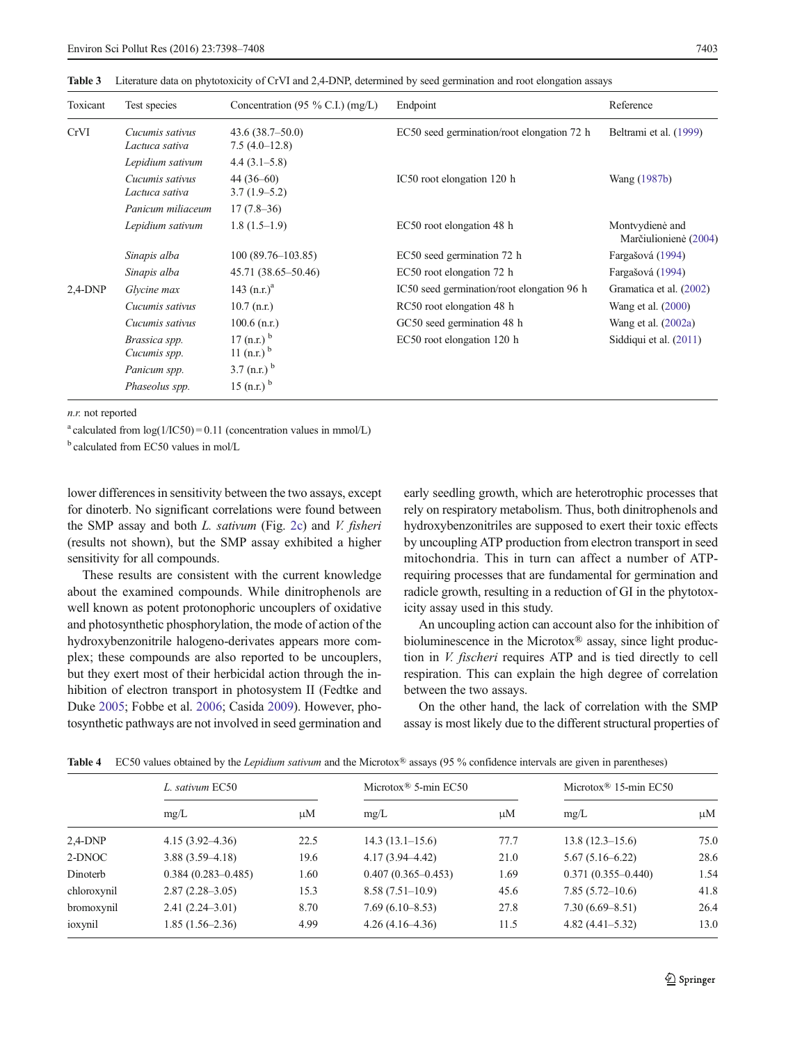| Toxicant   | Test species                      | Concentration (95 % C.I.) (mg/L)             | Endpoint                                   | Reference                                |
|------------|-----------------------------------|----------------------------------------------|--------------------------------------------|------------------------------------------|
| CrVI       | Cucumis sativus<br>Lactuca sativa | 43.6(38.7–50.0)<br>$7.5(4.0-12.8)$           | EC50 seed germination/root elongation 72 h | Beltrami et al. (1999)                   |
|            | Lepidium sativum                  | $4.4(3.1-5.8)$                               |                                            |                                          |
|            | Cucumis sativus<br>Lactuca sativa | $44(36-60)$<br>$3.7(1.9-5.2)$                | IC50 root elongation 120 h                 | Wang (1987b)                             |
|            | Panicum miliaceum                 | $17(7.8-36)$                                 |                                            |                                          |
|            | Lepidium sativum                  | $1.8(1.5-1.9)$                               | EC50 root elongation 48 h                  | Montvydienė and<br>Marčiulionienė (2004) |
|            | Sinapis alba                      | $100(89.76 - 103.85)$                        | EC50 seed germination 72 h                 | Fargašová (1994)                         |
|            | Sinapis alba                      | 45.71 (38.65–50.46)                          | EC50 root elongation 72 h                  | Fargašová (1994)                         |
| $2,4$ -DNP | Glycine max                       | 143 $(n.r.)^a$                               | IC50 seed germination/root elongation 96 h | Gramatica et al. (2002)                  |
|            | Cucumis sativus                   | $10.7$ (n.r.)                                | RC50 root elongation 48 h                  | Wang et al. $(2000)$                     |
|            | Cucumis sativus                   | $100.6$ (n.r.)                               | GC50 seed germination 48 h                 | Wang et al. $(2002a)$                    |
|            | Brassica spp.<br>Cucumis spp.     | 17 (n.r.) $^{b}$<br>11 $(n.r.)$ <sup>b</sup> | EC50 root elongation 120 h                 | Siddiqui et al. (2011)                   |
|            | Panicum spp.                      | 3.7 $(n.r.)$ <sup>b</sup>                    |                                            |                                          |
|            | Phaseolus spp.                    | 15 (n.r.) $^{\rm b}$                         |                                            |                                          |

<span id="page-5-0"></span>Table 3 Literature data on phytotoxicity of CrVI and 2,4-DNP, determined by seed germination and root elongation assays

n.r. not reported

<sup>a</sup> calculated from  $log(1/IC50) = 0.11$  (concentration values in mmol/L)

 $<sup>b</sup>$  calculated from EC50 values in mol/L</sup>

lower differences in sensitivity between the two assays, except for dinoterb. No significant correlations were found between the SMP assay and both  $L.$  sativum (Fig. [2c](#page-6-0)) and  $V.$  fisheri (results not shown), but the SMP assay exhibited a higher sensitivity for all compounds.

These results are consistent with the current knowledge about the examined compounds. While dinitrophenols are well known as potent protonophoric uncouplers of oxidative and photosynthetic phosphorylation, the mode of action of the hydroxybenzonitrile halogeno-derivates appears more complex; these compounds are also reported to be uncouplers, but they exert most of their herbicidal action through the inhibition of electron transport in photosystem II (Fedtke and Duke [2005;](#page-9-0) Fobbe et al. [2006](#page-9-0); Casida [2009](#page-9-0)). However, photosynthetic pathways are not involved in seed germination and early seedling growth, which are heterotrophic processes that rely on respiratory metabolism. Thus, both dinitrophenols and hydroxybenzonitriles are supposed to exert their toxic effects by uncoupling ATP production from electron transport in seed mitochondria. This in turn can affect a number of ATPrequiring processes that are fundamental for germination and radicle growth, resulting in a reduction of GI in the phytotoxicity assay used in this study.

An uncoupling action can account also for the inhibition of bioluminescence in the Microtox® assay, since light production in V. fischeri requires ATP and is tied directly to cell respiration. This can explain the high degree of correlation between the two assays.

On the other hand, the lack of correlation with the SMP assay is most likely due to the different structural properties of

|             | L. sativum EC50        |      | Microtox <sup>®</sup> 5-min EC50 |      | Microtox <sup>®</sup> 15-min EC50 |         |  |
|-------------|------------------------|------|----------------------------------|------|-----------------------------------|---------|--|
|             | mg/L                   | μM   | mg/L                             | μM   | mg/L                              | $\mu$ M |  |
| $2,4-DNP$   | $4.15(3.92 - 4.36)$    | 22.5 | $14.3(13.1-15.6)$                | 77.7 | $13.8(12.3 - 15.6)$               | 75.0    |  |
| 2-DNOC      | $3.88(3.59 - 4.18)$    | 19.6 | $4.17(3.94 - 4.42)$              | 21.0 | $5.67(5.16 - 6.22)$               | 28.6    |  |
| Dinoterb    | $0.384(0.283 - 0.485)$ | 1.60 | $0.407(0.365 - 0.453)$           | 1.69 | $0.371(0.355 - 0.440)$            | 1.54    |  |
| chloroxynil | $2.87(2.28-3.05)$      | 15.3 | $8.58(7.51-10.9)$                | 45.6 | $7.85(5.72 - 10.6)$               | 41.8    |  |
| bromoxynil  | $2.41(2.24 - 3.01)$    | 8.70 | $7.69(6.10-8.53)$                | 27.8 | $7.30(6.69 - 8.51)$               | 26.4    |  |
| ioxynil     | $1.85(1.56-2.36)$      | 4.99 | $4.26(4.16-4.36)$                | 11.5 | $4.82(4.41 - 5.32)$               | 13.0    |  |

Table 4 EC50 values obtained by the Lepidium sativum and the Microtox<sup>®</sup> assays (95 % confidence intervals are given in parentheses)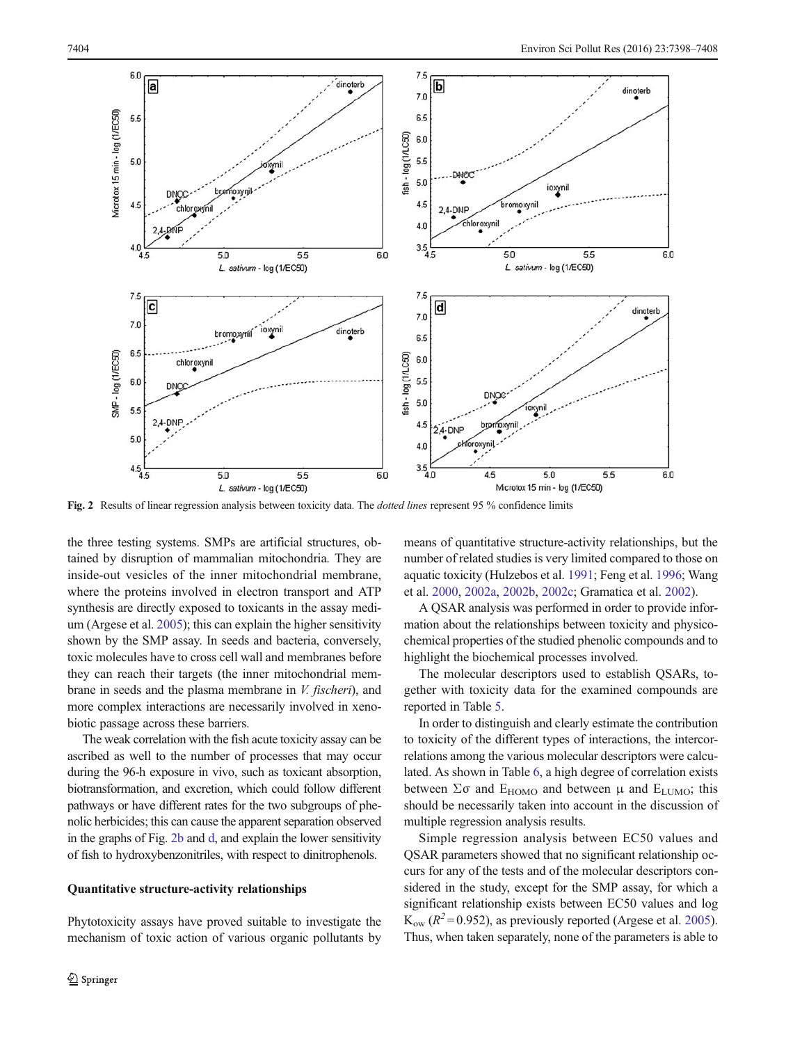<span id="page-6-0"></span>

Fig. 2 Results of linear regression analysis between toxicity data. The *dotted lines* represent 95 % confidence limits

the three testing systems. SMPs are artificial structures, obtained by disruption of mammalian mitochondria. They are inside-out vesicles of the inner mitochondrial membrane, where the proteins involved in electron transport and ATP synthesis are directly exposed to toxicants in the assay medium (Argese et al. [2005](#page-9-0)); this can explain the higher sensitivity shown by the SMP assay. In seeds and bacteria, conversely, toxic molecules have to cross cell wall and membranes before they can reach their targets (the inner mitochondrial membrane in seeds and the plasma membrane in V. fischeri), and more complex interactions are necessarily involved in xenobiotic passage across these barriers.

The weak correlation with the fish acute toxicity assay can be ascribed as well to the number of processes that may occur during the 96-h exposure in vivo, such as toxicant absorption, biotransformation, and excretion, which could follow different pathways or have different rates for the two subgroups of phenolic herbicides; this can cause the apparent separation observed in the graphs of Fig. 2b and d, and explain the lower sensitivity of fish to hydroxybenzonitriles, with respect to dinitrophenols.

## Quantitative structure-activity relationships

Phytotoxicity assays have proved suitable to investigate the mechanism of toxic action of various organic pollutants by means of quantitative structure-activity relationships, but the number of related studies is very limited compared to those on aquatic toxicity (Hulzebos et al. [1991;](#page-9-0) Feng et al. [1996;](#page-9-0) Wang et al. [2000](#page-10-0), [2002a](#page-10-0), [2002b,](#page-10-0) [2002c;](#page-10-0) Gramatica et al. [2002\)](#page-9-0).

A QSAR analysis was performed in order to provide information about the relationships between toxicity and physicochemical properties of the studied phenolic compounds and to highlight the biochemical processes involved.

The molecular descriptors used to establish QSARs, together with toxicity data for the examined compounds are reported in Table [5.](#page-7-0)

In order to distinguish and clearly estimate the contribution to toxicity of the different types of interactions, the intercorrelations among the various molecular descriptors were calculated. As shown in Table [6,](#page-7-0) a high degree of correlation exists between  $\Sigma \sigma$  and  $E_{HOMO}$  and between  $\mu$  and  $E_{LUMO}$ ; this should be necessarily taken into account in the discussion of multiple regression analysis results.

Simple regression analysis between EC50 values and QSAR parameters showed that no significant relationship occurs for any of the tests and of the molecular descriptors considered in the study, except for the SMP assay, for which a significant relationship exists between EC50 values and log  $K_{ow}$  ( $R^2$ =0.952), as previously reported (Argese et al. [2005\)](#page-9-0). Thus, when taken separately, none of the parameters is able to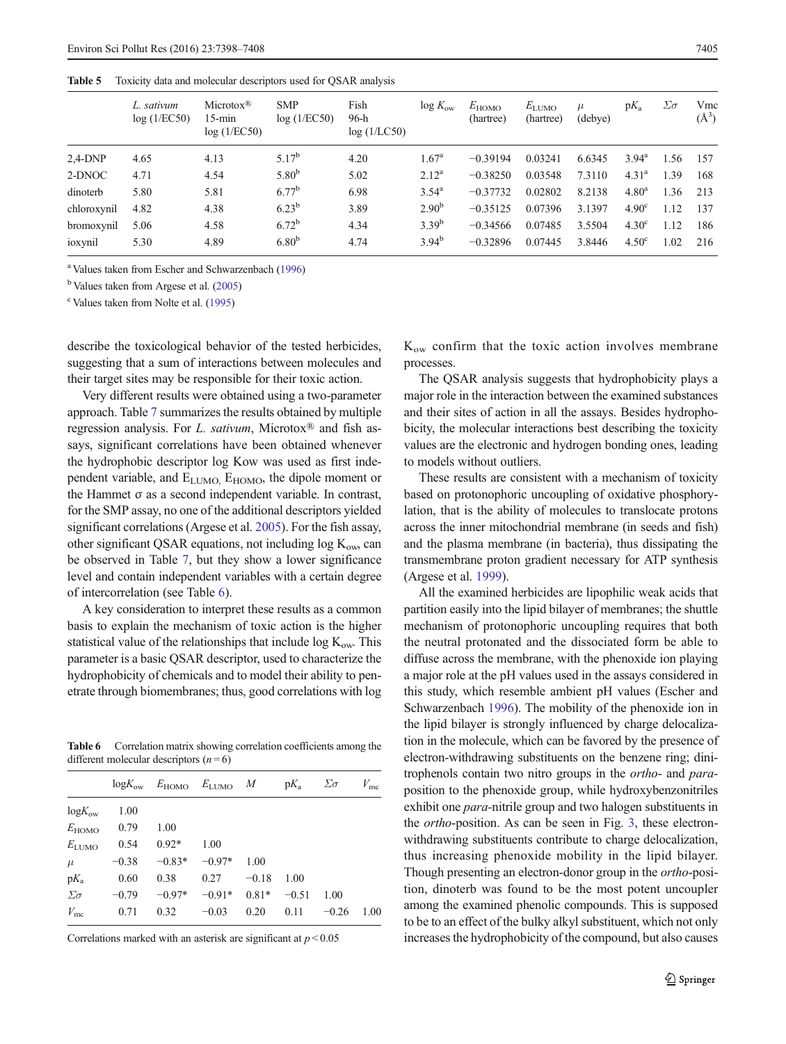<span id="page-7-0"></span>Table 5 Toxicity data and molecular descriptors used for QSAR analysis

|             | L. sativum<br>log(1/EC50) | $Microtox^{\circledR}$<br>$15$ -min<br>log(1/EC50) | <b>SMP</b><br>log(1/EC50) | Fish<br>96-h<br>log(1/LC50) | $\log K_{\rm ow}$ | $E_{\text{HOMO}}$<br>(hartree) | $E_{\text{LUMO}}$<br>(hartree) | $\mu$<br>(debye) | $pK_a$            | $\Sigma \sigma$ | Vmc<br>$(\AA^3)$ |
|-------------|---------------------------|----------------------------------------------------|---------------------------|-----------------------------|-------------------|--------------------------------|--------------------------------|------------------|-------------------|-----------------|------------------|
| $2,4-DNP$   | 4.65                      | 4.13                                               | $5.17^{b}$                | 4.20                        | $1.67^{\rm a}$    | $-0.39194$                     | 0.03241                        | 6.6345           | $3.94^{\rm a}$    | 1.56            | 157              |
| 2-DNOC      | 4.71                      | 4.54                                               | 5.80 <sup>b</sup>         | 5.02                        | $2.12^{\rm a}$    | $-0.38250$                     | 0.03548                        | 7.3110           | 4.31 <sup>a</sup> | 1.39            | 168              |
| dinoterb    | 5.80                      | 5.81                                               | $6.77^{b}$                | 6.98                        | $3.54^{\rm a}$    | $-0.37732$                     | 0.02802                        | 8.2138           | 4.80 <sup>a</sup> | 1.36            | 213              |
| chloroxynil | 4.82                      | 4.38                                               | $6.23^{b}$                | 3.89                        | $2.90^{b}$        | $-0.35125$                     | 0.07396                        | 3.1397           | 4.90 <sup>c</sup> | 1.12            | 137              |
| bromoxynil  | 5.06                      | 4.58                                               | $6.72^{b}$                | 4.34                        | $3.39^{b}$        | $-0.34566$                     | 0.07485                        | 3.5504           | 4.30 <sup>c</sup> | 1.12            | 186              |
| ioxynil     | 5.30                      | 4.89                                               | 6.80 <sup>b</sup>         | 4.74                        | $3.94^{b}$        | $-0.32896$                     | 0.07445                        | 3.8446           | 4.50 <sup>c</sup> | 1.02            | 216              |

a Values taken from Escher and Schwarzenbach [\(1996\)](#page-9-0)

<sup>b</sup> Values taken from Argese et al. [\(2005](#page-9-0))

<sup>c</sup> Values taken from Nolte et al. ([1995](#page-9-0))

describe the toxicological behavior of the tested herbicides, suggesting that a sum of interactions between molecules and their target sites may be responsible for their toxic action.

Very different results were obtained using a two-parameter approach. Table [7](#page-8-0) summarizes the results obtained by multiple regression analysis. For L. sativum, Microtox® and fish assays, significant correlations have been obtained whenever the hydrophobic descriptor log Kow was used as first independent variable, and  $E_{LUMO}$ ,  $E_{HOMO}$ , the dipole moment or the Hammet σ as a second independent variable. In contrast, for the SMP assay, no one of the additional descriptors yielded significant correlations (Argese et al. [2005](#page-9-0)). For the fish assay, other significant QSAR equations, not including  $log K<sub>ow</sub>$ , can be observed in Table [7](#page-8-0), but they show a lower significance level and contain independent variables with a certain degree of intercorrelation (see Table 6).

A key consideration to interpret these results as a common basis to explain the mechanism of toxic action is the higher statistical value of the relationships that include  $\log K_{ow}$ . This parameter is a basic QSAR descriptor, used to characterize the hydrophobicity of chemicals and to model their ability to penetrate through biomembranes; thus, good correlations with log

Table 6 Correlation matrix showing correlation coefficients among the different molecular descriptors  $(n=6)$ 

|                   |         | $logK_{ow}$ $E_{HOMO}$ $E_{LUMO}$ $M$ $pK_a$ $\Sigma \sigma$ |                           |         |         |         | $V_{\rm mc}$ |
|-------------------|---------|--------------------------------------------------------------|---------------------------|---------|---------|---------|--------------|
| $logK_{ow}$       | 1.00    |                                                              |                           |         |         |         |              |
| $E_{\text{HOMO}}$ | 0.79    | 1.00                                                         |                           |         |         |         |              |
| $E_{\text{LUMO}}$ | 0.54    | $0.92*$                                                      | 1.00                      |         |         |         |              |
| $\mu$             | $-0.38$ | $-0.83*$                                                     | $-0.97*$                  | 1.00    |         |         |              |
| $pK_a$            | 0.60    | 0.38                                                         | 0.27                      | $-0.18$ | 1.00    |         |              |
| $\Sigma \sigma$   | $-0.79$ |                                                              | $-0.97*$ $-0.91*$ $0.81*$ |         | $-0.51$ | 1.00    |              |
| $V_{\text{mc}}$   | 0.71    | 0.32                                                         | $-0.03$                   | 0.20    | 0.11    | $-0.26$ | 1.00         |
|                   |         |                                                              |                           |         |         |         |              |

Correlations marked with an asterisk are significant at  $p < 0.05$ 

 $K_{ow}$  confirm that the toxic action involves membrane processes.

The QSAR analysis suggests that hydrophobicity plays a major role in the interaction between the examined substances and their sites of action in all the assays. Besides hydrophobicity, the molecular interactions best describing the toxicity values are the electronic and hydrogen bonding ones, leading to models without outliers.

These results are consistent with a mechanism of toxicity based on protonophoric uncoupling of oxidative phosphorylation, that is the ability of molecules to translocate protons across the inner mitochondrial membrane (in seeds and fish) and the plasma membrane (in bacteria), thus dissipating the transmembrane proton gradient necessary for ATP synthesis (Argese et al. [1999](#page-9-0)).

All the examined herbicides are lipophilic weak acids that partition easily into the lipid bilayer of membranes; the shuttle mechanism of protonophoric uncoupling requires that both the neutral protonated and the dissociated form be able to diffuse across the membrane, with the phenoxide ion playing a major role at the pH values used in the assays considered in this study, which resemble ambient pH values (Escher and Schwarzenbach [1996\)](#page-9-0). The mobility of the phenoxide ion in the lipid bilayer is strongly influenced by charge delocalization in the molecule, which can be favored by the presence of electron-withdrawing substituents on the benzene ring; dinitrophenols contain two nitro groups in the ortho- and paraposition to the phenoxide group, while hydroxybenzonitriles exhibit one *para*-nitrile group and two halogen substituents in the ortho-position. As can be seen in Fig. [3](#page-8-0), these electronwithdrawing substituents contribute to charge delocalization, thus increasing phenoxide mobility in the lipid bilayer. Though presenting an electron-donor group in the ortho-position, dinoterb was found to be the most potent uncoupler among the examined phenolic compounds. This is supposed to be to an effect of the bulky alkyl substituent, which not only increases the hydrophobicity of the compound, but also causes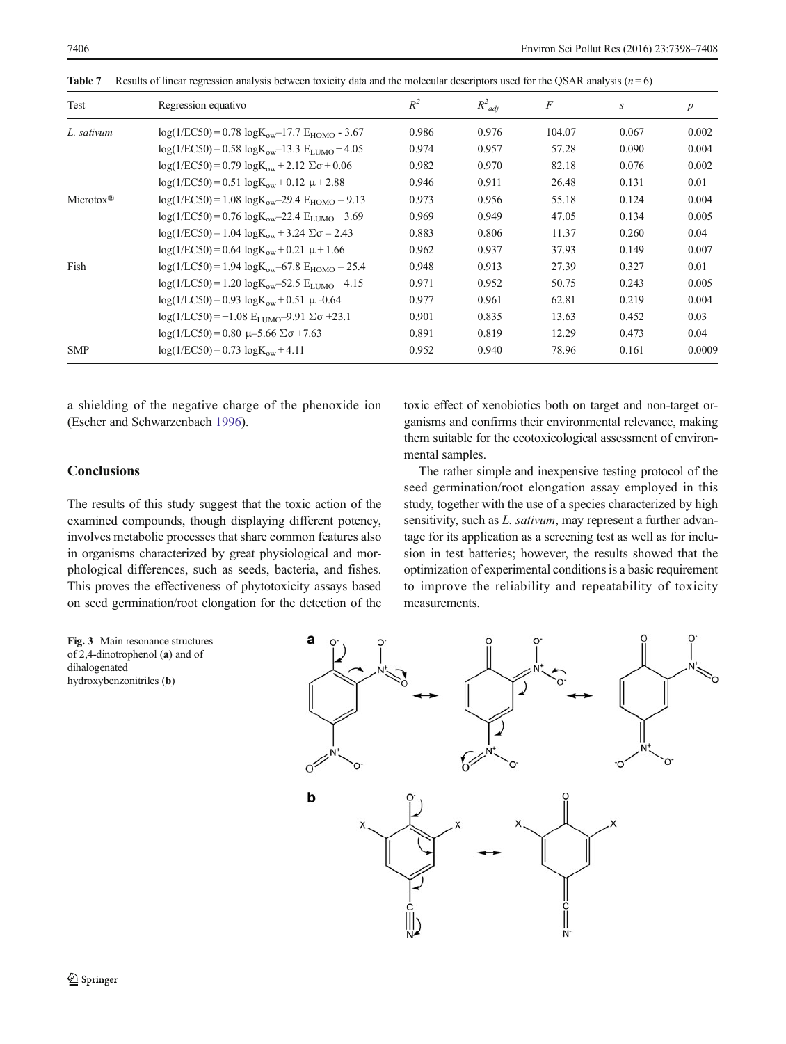| Test                  | Regression equativo                                                  | $R^2$ | $R^2_{adi}$ | $\,F$  | S     | p      |
|-----------------------|----------------------------------------------------------------------|-------|-------------|--------|-------|--------|
| L. sativum            | $log(1/EC50) = 0.78 log K_{ow} - 17.7 E_{HOMO} - 3.67$               | 0.986 | 0.976       | 104.07 | 0.067 | 0.002  |
|                       | $log(1/EC50) = 0.58 log K_{\text{ow}} - 13.3 E_{\text{LIMO}} + 4.05$ | 0.974 | 0.957       | 57.28  | 0.090 | 0.004  |
|                       | $log(1/EC50) = 0.79 log K_{ow} + 2.12 \Sigma \sigma + 0.06$          | 0.982 | 0.970       | 82.18  | 0.076 | 0.002  |
|                       | $log(1/EC50) = 0.51 log K_{\text{ow}} + 0.12 \mu + 2.88$             | 0.946 | 0.911       | 26.48  | 0.131 | 0.01   |
| Microtox <sup>®</sup> | $log(1/EC50) = 1.08 log K_{\text{ow}} - 29.4 E_{\text{HOMO}} - 9.13$ | 0.973 | 0.956       | 55.18  | 0.124 | 0.004  |
|                       | $log(1/EC50) = 0.76 log K_{\text{ow}} - 22.4 E_{\text{LIMO}} + 3.69$ | 0.969 | 0.949       | 47.05  | 0.134 | 0.005  |
|                       | $log(1/EC50) = 1.04 log K_{\text{ow}} + 3.24 \Sigma \sigma - 2.43$   | 0.883 | 0.806       | 11.37  | 0.260 | 0.04   |
|                       | $log(1/EC50) = 0.64 log K_{\text{ow}} + 0.21 \mu + 1.66$             | 0.962 | 0.937       | 37.93  | 0.149 | 0.007  |
| Fish                  | $log(1/LC50) = 1.94 log K_{\text{ow}} - 67.8 E_{\text{HOMO}} - 25.4$ | 0.948 | 0.913       | 27.39  | 0.327 | 0.01   |
|                       | $log(1/LC50) = 1.20 logKow-52.5 ELUMO + 4.15$                        | 0.971 | 0.952       | 50.75  | 0.243 | 0.005  |
|                       | $log(1/LC50) = 0.93 logK_{ow} + 0.51 \mu -0.64$                      | 0.977 | 0.961       | 62.81  | 0.219 | 0.004  |
|                       | $log(1/LC50) = -1.08 E_{LUMO} - 9.91 \Sigma \sigma + 23.1$           | 0.901 | 0.835       | 13.63  | 0.452 | 0.03   |
|                       | $log(1/LC50) = 0.80 \mu - 5.66 \Sigma \sigma + 7.63$                 | 0.891 | 0.819       | 12.29  | 0.473 | 0.04   |
| <b>SMP</b>            | $log(1/EC50) = 0.73 log K_{ow} + 4.11$                               | 0.952 | 0.940       | 78.96  | 0.161 | 0.0009 |

<span id="page-8-0"></span>**Table 7** Results of linear regression analysis between toxicity data and the molecular descriptors used for the QSAR analysis ( $n = 6$ )

a shielding of the negative charge of the phenoxide ion (Escher and Schwarzenbach [1996\)](#page-9-0).

# **Conclusions**

The results of this study suggest that the toxic action of the examined compounds, though displaying different potency, involves metabolic processes that share common features also in organisms characterized by great physiological and morphological differences, such as seeds, bacteria, and fishes. This proves the effectiveness of phytotoxicity assays based on seed germination/root elongation for the detection of the toxic effect of xenobiotics both on target and non-target organisms and confirms their environmental relevance, making them suitable for the ecotoxicological assessment of environmental samples.

The rather simple and inexpensive testing protocol of the seed germination/root elongation assay employed in this study, together with the use of a species characterized by high sensitivity, such as *L. sativum*, may represent a further advantage for its application as a screening test as well as for inclusion in test batteries; however, the results showed that the optimization of experimental conditions is a basic requirement to improve the reliability and repeatability of toxicity measurements.

Fig. 3 Main resonance structures of 2,4-dinotrophenol (a) and of dihalogenated hydroxybenzonitriles (b)

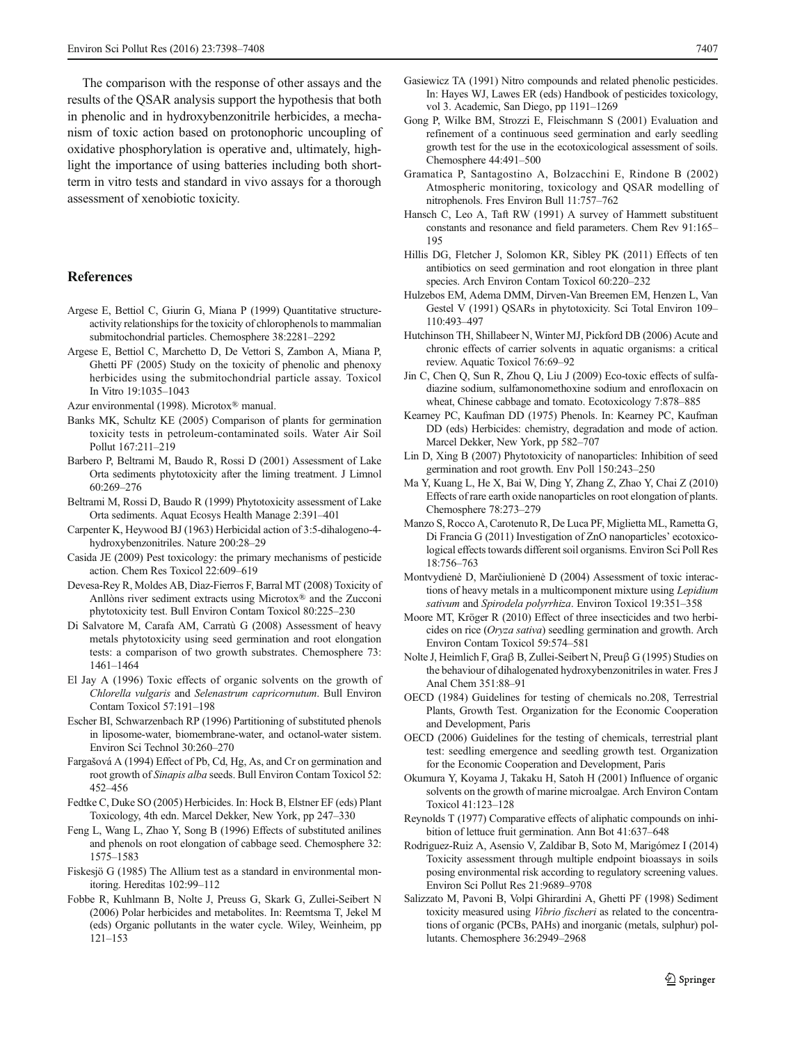<span id="page-9-0"></span>The comparison with the response of other assays and the results of the QSAR analysis support the hypothesis that both in phenolic and in hydroxybenzonitrile herbicides, a mechanism of toxic action based on protonophoric uncoupling of oxidative phosphorylation is operative and, ultimately, highlight the importance of using batteries including both shortterm in vitro tests and standard in vivo assays for a thorough assessment of xenobiotic toxicity.

#### References

- Argese E, Bettiol C, Giurin G, Miana P (1999) Quantitative structureactivity relationships for the toxicity of chlorophenols to mammalian submitochondrial particles. Chemosphere 38:2281–2292
- Argese E, Bettiol C, Marchetto D, De Vettori S, Zambon A, Miana P, Ghetti PF (2005) Study on the toxicity of phenolic and phenoxy herbicides using the submitochondrial particle assay. Toxicol In Vitro 19:1035–1043
- Azur environmental (1998). Microtox® manual.
- Banks MK, Schultz KE (2005) Comparison of plants for germination toxicity tests in petroleum-contaminated soils. Water Air Soil Pollut 167:211–219
- Barbero P, Beltrami M, Baudo R, Rossi D (2001) Assessment of Lake Orta sediments phytotoxicity after the liming treatment. J Limnol 60:269–276
- Beltrami M, Rossi D, Baudo R (1999) Phytotoxicity assessment of Lake Orta sediments. Aquat Ecosys Health Manage 2:391–401
- Carpenter K, Heywood BJ (1963) Herbicidal action of 3:5-dihalogeno-4 hydroxybenzonitriles. Nature 200:28–29
- Casida JE (2009) Pest toxicology: the primary mechanisms of pesticide action. Chem Res Toxicol 22:609–619
- Devesa-Rey R, Moldes AB, Dìaz-Fierros F, Barral MT (2008) Toxicity of Anllòns river sediment extracts using Microtox® and the Zucconi phytotoxicity test. Bull Environ Contam Toxicol 80:225–230
- Di Salvatore M, Carafa AM, Carratù G (2008) Assessment of heavy metals phytotoxicity using seed germination and root elongation tests: a comparison of two growth substrates. Chemosphere 73: 1461–1464
- El Jay A (1996) Toxic effects of organic solvents on the growth of Chlorella vulgaris and Selenastrum capricornutum. Bull Environ Contam Toxicol 57:191–198
- Escher BI, Schwarzenbach RP (1996) Partitioning of substituted phenols in liposome-water, biomembrane-water, and octanol-water sistem. Environ Sci Technol 30:260–270
- Fargašová A (1994) Effect of Pb, Cd, Hg, As, and Cr on germination and root growth of Sinapis alba seeds. Bull Environ Contam Toxicol 52: 452–456
- Fedtke C, Duke SO (2005) Herbicides. In: Hock B, Elstner EF (eds) Plant Toxicology, 4th edn. Marcel Dekker, New York, pp 247–330
- Feng L, Wang L, Zhao Y, Song B (1996) Effects of substituted anilines and phenols on root elongation of cabbage seed. Chemosphere 32: 1575–1583
- Fiskesjö G (1985) The Allium test as a standard in environmental monitoring. Hereditas 102:99–112
- Fobbe R, Kuhlmann B, Nolte J, Preuss G, Skark G, Zullei-Seibert N (2006) Polar herbicides and metabolites. In: Reemtsma T, Jekel M (eds) Organic pollutants in the water cycle. Wiley, Weinheim, pp 121–153
- Gasiewicz TA (1991) Nitro compounds and related phenolic pesticides. In: Hayes WJ, Lawes ER (eds) Handbook of pesticides toxicology, vol 3. Academic, San Diego, pp 1191–1269
- Gong P, Wilke BM, Strozzi E, Fleischmann S (2001) Evaluation and refinement of a continuous seed germination and early seedling growth test for the use in the ecotoxicological assessment of soils. Chemosphere 44:491–500
- Gramatica P, Santagostino A, Bolzacchini E, Rindone B (2002) Atmospheric monitoring, toxicology and QSAR modelling of nitrophenols. Fres Environ Bull 11:757–762
- Hansch C, Leo A, Taft RW (1991) A survey of Hammett substituent constants and resonance and field parameters. Chem Rev 91:165– 195
- Hillis DG, Fletcher J, Solomon KR, Sibley PK (2011) Effects of ten antibiotics on seed germination and root elongation in three plant species. Arch Environ Contam Toxicol 60:220–232
- Hulzebos EM, Adema DMM, Dirven-Van Breemen EM, Henzen L, Van Gestel V (1991) QSARs in phytotoxicity. Sci Total Environ 109– 110:493–497
- Hutchinson TH, Shillabeer N, Winter MJ, Pickford DB (2006) Acute and chronic effects of carrier solvents in aquatic organisms: a critical review. Aquatic Toxicol 76:69–92
- Jin C, Chen Q, Sun R, Zhou Q, Liu J (2009) Eco-toxic effects of sulfadiazine sodium, sulfamonomethoxine sodium and enrofloxacin on wheat, Chinese cabbage and tomato. Ecotoxicology 7:878–885
- Kearney PC, Kaufman DD (1975) Phenols. In: Kearney PC, Kaufman DD (eds) Herbicides: chemistry, degradation and mode of action. Marcel Dekker, New York, pp 582–707
- Lin D, Xing B (2007) Phytotoxicity of nanoparticles: Inhibition of seed germination and root growth. Env Poll 150:243–250
- Ma Y, Kuang L, He X, Bai W, Ding Y, Zhang Z, Zhao Y, Chai Z (2010) Effects of rare earth oxide nanoparticles on root elongation of plants. Chemosphere 78:273–279
- Manzo S, Rocco A, Carotenuto R, De Luca PF, Miglietta ML, Rametta G, Di Francia G (2011) Investigation of ZnO nanoparticles' ecotoxicological effects towards different soil organisms. Environ Sci Poll Res 18:756–763
- Montvydienė D, Marčiulionienė D (2004) Assessment of toxic interactions of heavy metals in a multicomponent mixture using Lepidium sativum and Spirodela polyrrhiza. Environ Toxicol 19:351–358
- Moore MT, Kröger R (2010) Effect of three insecticides and two herbicides on rice (Oryza sativa) seedling germination and growth. Arch Environ Contam Toxicol 59:574–581
- Nolte J, Heimlich F, Graβ B, Zullei-Seibert N, Preuβ G (1995) Studies on the behaviour of dihalogenated hydroxybenzonitriles in water. Fres J Anal Chem 351:88–91
- OECD (1984) Guidelines for testing of chemicals no.208, Terrestrial Plants, Growth Test. Organization for the Economic Cooperation and Development, Paris
- OECD (2006) Guidelines for the testing of chemicals, terrestrial plant test: seedling emergence and seedling growth test. Organization for the Economic Cooperation and Development, Paris
- Okumura Y, Koyama J, Takaku H, Satoh H (2001) Influence of organic solvents on the growth of marine microalgae. Arch Environ Contam Toxicol 41:123–128
- Reynolds T (1977) Comparative effects of aliphatic compounds on inhibition of lettuce fruit germination. Ann Bot 41:637–648
- Rodriguez-Ruiz A, Asensio V, Zaldibar B, Soto M, Marigómez I (2014) Toxicity assessment through multiple endpoint bioassays in soils posing environmental risk according to regulatory screening values. Environ Sci Pollut Res 21:9689–9708
- Salizzato M, Pavoni B, Volpi Ghirardini A, Ghetti PF (1998) Sediment toxicity measured using Vibrio fischeri as related to the concentrations of organic (PCBs, PAHs) and inorganic (metals, sulphur) pollutants. Chemosphere 36:2949–2968